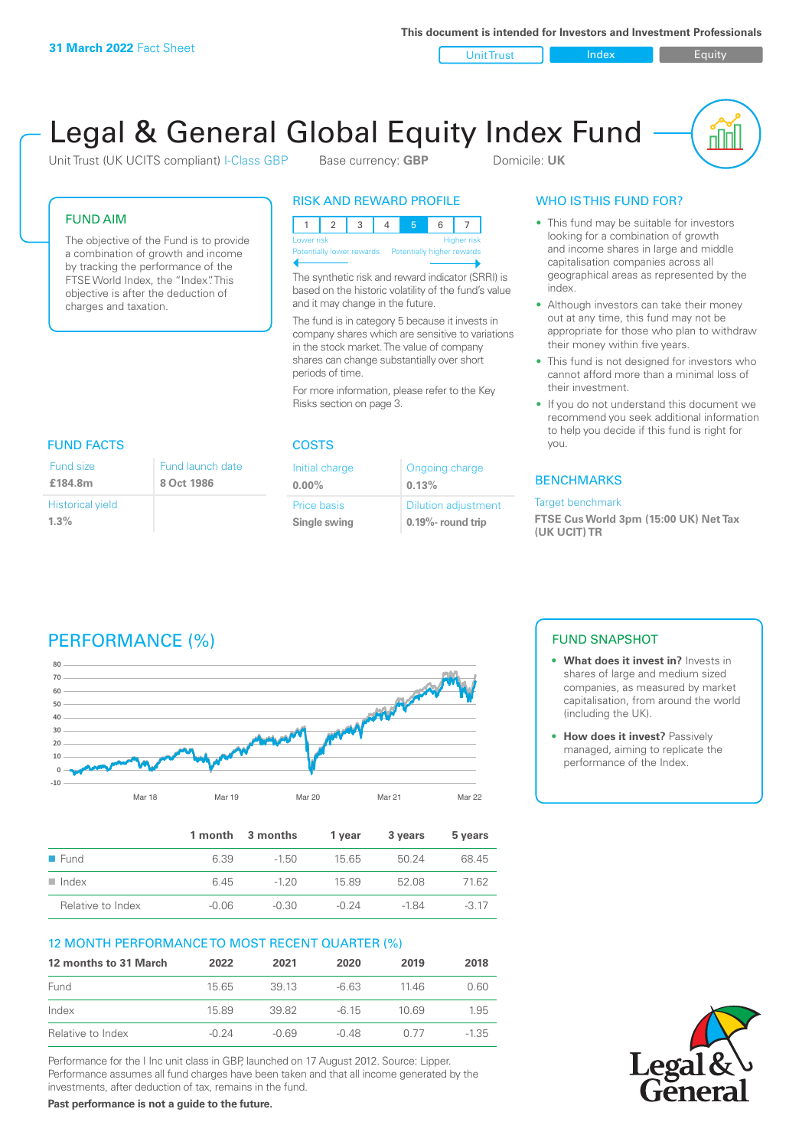**This document is intended for Investors and Investment Professionals**

Unit Trust Index I Equity

u ju

# Legal & General Global Equity Index Fund

Unit Trust (UK UCITS compliant) I-Class GBP Base currency: **GBP** Domicile: UK

FUND AIM

The objective of the Fund is to provide a combination of growth and income by tracking the performance of the FTSE World Index, the "Index". This objective is after the deduction of charges and taxation.

#### RISK AND REWARD PROFILE

| Lower risk                                            |  |  |  | <b>Higher risk</b> |
|-------------------------------------------------------|--|--|--|--------------------|
| Potentially lower rewards  Potentially higher rewards |  |  |  |                    |
|                                                       |  |  |  |                    |

The synthetic risk and reward indicator (SRRI) is based on the historic volatility of the fund's value and it may change in the future.

The fund is in category 5 because it invests in company shares which are sensitive to variations in the stock market. The value of company shares can change substantially over short periods of time.

For more information, please refer to the Key Risks section on page 3.

#### FUND FACTS COSTS Fund size

| Fund size               | Fund launch date |
|-------------------------|------------------|
| £184.8m                 | 8 Oct 1986       |
| <b>Historical yield</b> |                  |
| $1.3\%$                 |                  |

| Initial charge | Ongoing charge             |
|----------------|----------------------------|
| $0.00\%$       | 0.13%                      |
| Price basis    | <b>Dilution adjustment</b> |
| Single swing   | $0.19\%$ - round trip      |

### WHO IS THIS FUND FOR?

- This fund may be suitable for investors looking for a combination of growth and income shares in large and middle capitalisation companies across all geographical areas as represented by the index.
- Although investors can take their money out at any time, this fund may not be appropriate for those who plan to withdraw their money within five years.
- This fund is not designed for investors who cannot afford more than a minimal loss of their investment.
- If you do not understand this document we recommend you seek additional information to help you decide if this fund is right for you.

#### **BENCHMARKS**

#### Target benchmark

**FTSE Cus World 3pm (15:00 UK) Net Tax (UK UCIT) TR**

# PERFORMANCE (%)



|                      |         | 1 month 3 months | 1 vear | 3 years | 5 years |
|----------------------|---------|------------------|--------|---------|---------|
| ■ Fund               | 6.39    | $-1.50$          | 15 65  | 50.24   | 68.45   |
| $\blacksquare$ Index | 6.45    | $-120$           | 1589   | 52.08   | 7162    |
| Relative to Index    | $-0.06$ | $-0.30$          | -0.24  | -1 84   | $-3.17$ |

#### 12 MONTH PERFORMANCE TO MOST RECENT QUARTER (%)

| 12 months to 31 March | 2022    | 2021    | 2020    | 2019  | 2018 |
|-----------------------|---------|---------|---------|-------|------|
| Fund                  | 1565    | 39 13   | $-663$  | 11 46 | 0.60 |
| Index                 | 15.89   | 39.82   | $-6.15$ | 10.69 | 1.95 |
| Relative to Index     | $-0.24$ | $-0.69$ | $-0.48$ | 0.77  | -135 |

Performance for the I Inc unit class in GBP, launched on 17 August 2012. Source: Lipper. Performance assumes all fund charges have been taken and that all income generated by the investments, after deduction of tax, remains in the fund.

**Past performance is not a guide to the future.**

### FUND SNAPSHOT

- **• What does it invest in?** Invests in shares of large and medium sized companies, as measured by market capitalisation, from around the world (including the UK).
- **• How does it invest?** Passively managed, aiming to replicate the performance of the Index.

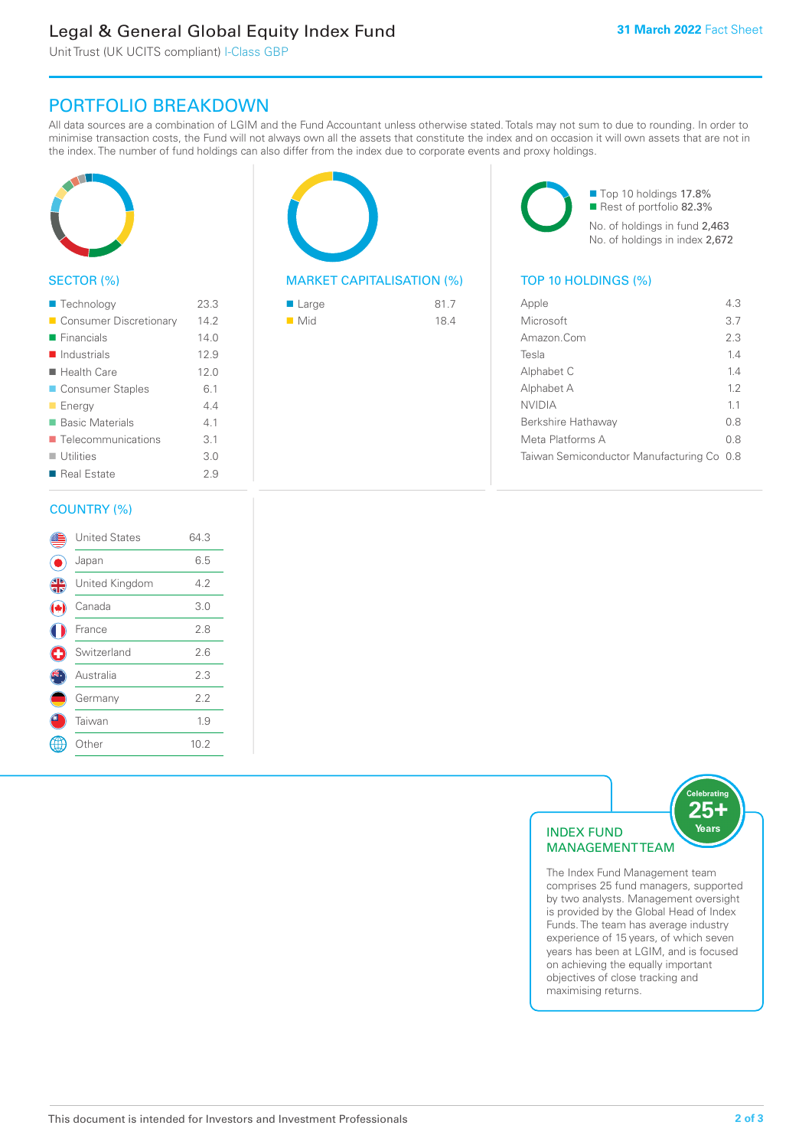# Legal & General Global Equity Index Fund

Unit Trust (UK UCITS compliant) I-Class GBP

## PORTFOLIO BREAKDOWN

All data sources are a combination of LGIM and the Fund Accountant unless otherwise stated. Totals may not sum to due to rounding. In order to minimise transaction costs, the Fund will not always own all the assets that constitute the index and on occasion it will own assets that are not in the index. The number of fund holdings can also differ from the index due to corporate events and proxy holdings.



#### SECTOR (%)

| ■ Technology               | 23.3 |
|----------------------------|------|
| Consumer Discretionary     | 14.2 |
| $\blacksquare$ Financials  | 140  |
| $\blacksquare$ Industrials | 12.9 |
| $\blacksquare$ Health Care | 12.0 |
| ■ Consumer Staples         | 6.1  |
| <b>Energy</b>              | 44   |
| ■ Basic Materials          | 41   |
| ■ Telecommunications       | 3.1  |
| $\blacksquare$ Utilities   | 3.0  |
| ■ Real Estate              | 2.9  |
|                            |      |

#### COUNTRY (%)

|   | <b>United States</b> | 64.3 |  |
|---|----------------------|------|--|
|   | Japan                | 6.5  |  |
| 4 | United Kingdom       | 4.2  |  |
|   | Canada               | 3.0  |  |
|   | France               | 2.8  |  |
| O | Switzerland          | 2.6  |  |
|   | Australia            | 2.3  |  |
|   | Germany              | 2.2  |  |
|   | Taiwan               | 1.9  |  |
|   | : Other              | 10.2 |  |
|   |                      |      |  |



#### MARKET CAPITALISATION (%) TOP 10 HOLDINGS (%)

| $\blacksquare$ Large | 81.7 |
|----------------------|------|
| $\blacksquare$ Mid   | 18.4 |

■ Top 10 holdings 17.8% Rest of portfolio 82.3% No. of holdings in fund 2,463 No. of holdings in index 2,672

| Apple                                     | 43  |
|-------------------------------------------|-----|
| Microsoft                                 | 3.7 |
| Amazon.Com                                | 2.3 |
| Tesla                                     | 14  |
| Alphabet C                                | 14  |
| Alphabet A                                | 12  |
| <b>NVIDIA</b>                             | 11  |
| Berkshire Hathaway                        | 0 S |
| Meta Platforms A                          | 0.8 |
| Taiwan Semiconductor Manufacturing Co 0.8 |     |
|                                           |     |



The Index Fund Management team comprises 25 fund managers, supported by two analysts. Management oversight is provided by the Global Head of Index Funds. The team has average industry experience of 15 years, of which seven years has been at LGIM, and is focused on achieving the equally important objectives of close tracking and maximising returns.